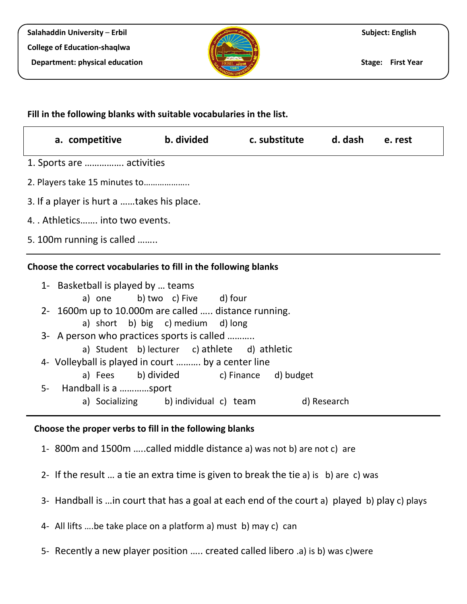

## **Fill in the following blanks with suitable vocabularies in the list.**

| a. competitive b. divided c. substitute d. dash e. rest                                                                                                                                                                                                          |                                                                                                                     |  |  |  |  |
|------------------------------------------------------------------------------------------------------------------------------------------------------------------------------------------------------------------------------------------------------------------|---------------------------------------------------------------------------------------------------------------------|--|--|--|--|
| 1. Sports are  activities                                                                                                                                                                                                                                        |                                                                                                                     |  |  |  |  |
| 2. Players take 15 minutes to                                                                                                                                                                                                                                    |                                                                                                                     |  |  |  |  |
| 3. If a player is hurt a takes his place.                                                                                                                                                                                                                        |                                                                                                                     |  |  |  |  |
| 4. . Athletics into two events.                                                                                                                                                                                                                                  |                                                                                                                     |  |  |  |  |
| 5. 100 m running is called                                                                                                                                                                                                                                       |                                                                                                                     |  |  |  |  |
| Choose the correct vocabularies to fill in the following blanks<br>1- Basketball is played by  teams<br>2- 1600m up to 10.000m are called  distance running.<br>3- A person who practices sports is called<br>4- Volleyball is played in court  by a center line | a) one b) two c) Five d) four<br>a) short b) big c) medium d) long<br>a) Student b) lecturer c) athlete d) athletic |  |  |  |  |
|                                                                                                                                                                                                                                                                  | a) Fees b) divided c) Finance d) budget                                                                             |  |  |  |  |

- 5- Handball is a …………sport
	- a) Socializing b) individual c) team d) Research

## **Choose the proper verbs to fill in the following blanks**

- 1- 800m and 1500m …..called middle distance a) was not b) are not c) are
- 2- If the result … a tie an extra time is given to break the tie a) is b) are c) was
- 3- Handball is …in court that has a goal at each end of the court a) played b) play c) plays
- 4- All lifts ….be take place on a platform a) must b) may c) can
- 5- Recently a new player position ….. created called libero .a) is b) was c)were